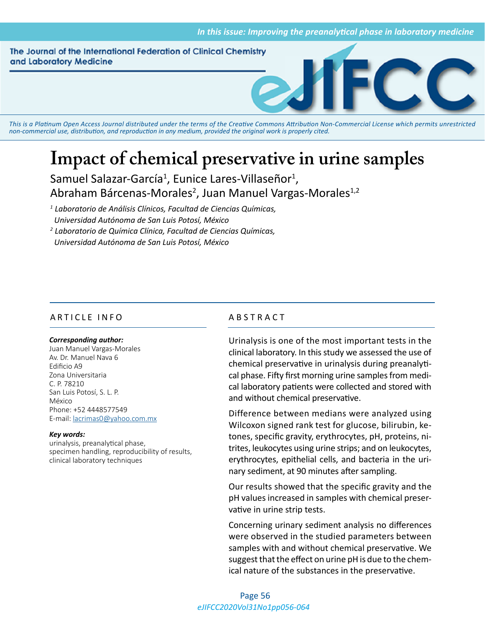The Journal of the International Federation of Clinical Chemistry and Laboratory Medicine



*This is a Platinum Open Access Journal distributed under the terms of the [Creative Commons Attribution Non-Commercial License](https://creativecommons.org/licenses/by-nc/4.0/) which permits unrestricted non-commercial use, distribution, and reproduction in any medium, provided the original work is properly cited.*

# **Impact of chemical preservative in urine samples**

Samuel Salazar-García<sup>1</sup>, Eunice Lares-Villaseñor<sup>1</sup>, Abraham Bárcenas-Morales<sup>2</sup>, Juan Manuel Vargas-Morales<sup>1,2</sup>

*1 Laboratorio de Análisis Clínicos, Facultad de Ciencias Químicas, Universidad Autónoma de San Luis Potosí, México*

*2 Laboratorio de Química Clínica, Facultad de Ciencias Químicas, Universidad Autónoma de San Luis Potosí, México*

# ARTICLE INFO ABSTRACT

#### *Corresponding author:*

Juan Manuel Vargas-Morales Av. Dr. Manuel Nava 6 Edificio A9 Zona Universitaria C. P. 78210 San Luis Potosí, S. L. P. México Phone: +52 4448577549 E-mail: lacrimas0@yahoo.com.mx

#### *Key words:*

urinalysis, preanalytical phase, specimen handling, reproducibility of results, clinical laboratory techniques

Urinalysis is one of the most important tests in the clinical laboratory. In this study we assessed the use of chemical preservative in urinalysis during preanalytical phase. Fifty first morning urine samples from medical laboratory patients were collected and stored with and without chemical preservative.

Difference between medians were analyzed using Wilcoxon signed rank test for glucose, bilirubin, ketones, specific gravity, erythrocytes, pH, proteins, nitrites, leukocytes using urine strips; and on leukocytes, erythrocytes, epithelial cells, and bacteria in the urinary sediment, at 90 minutes after sampling.

Our results showed that the specific gravity and the pH values increased in samples with chemical preservative in urine strip tests.

Concerning urinary sediment analysis no differences were observed in the studied parameters between samples with and without chemical preservative. We suggest that the effect on urine pH is due to the chemical nature of the substances in the preservative.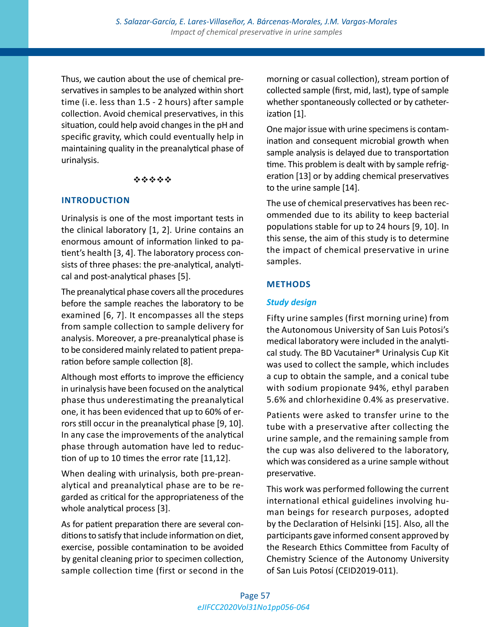Thus, we caution about the use of chemical preservatives in samples to be analyzed within short time (i.e. less than 1.5 - 2 hours) after sample collection. Avoid chemical preservatives, in this situation, could help avoid changes in the pH and specific gravity, which could eventually help in maintaining quality in the preanalytical phase of urinalysis.

#### \*\*\*\*\*

#### **INTRODUCTION**

Urinalysis is one of the most important tests in the clinical laboratory [1, 2]. Urine contains an enormous amount of information linked to patient's health [3, 4]. The laboratory process consists of three phases: the pre-analytical, analytical and post-analytical phases [5].

The preanalytical phase covers all the procedures before the sample reaches the laboratory to be examined [6, 7]. It encompasses all the steps from sample collection to sample delivery for analysis. Moreover, a pre-preanalytical phase is to be considered mainly related to patient preparation before sample collection [8].

Although most efforts to improve the efficiency in urinalysis have been focused on the analytical phase thus underestimating the preanalytical one, it has been evidenced that up to 60% of errors still occur in the preanalytical phase [9, 10]. In any case the improvements of the analytical phase through automation have led to reduction of up to 10 times the error rate [11,12].

When dealing with urinalysis, both pre-preanalytical and preanalytical phase are to be regarded as critical for the appropriateness of the whole analytical process [3].

As for patient preparation there are several conditions to satisfy that include information on diet, exercise, possible contamination to be avoided by genital cleaning prior to specimen collection, sample collection time (first or second in the morning or casual collection), stream portion of collected sample (first, mid, last), type of sample whether spontaneously collected or by catheterization [1].

One major issue with urine specimens is contamination and consequent microbial growth when sample analysis is delayed due to transportation time. This problem is dealt with by sample refrigeration [13] or by adding chemical preservatives to the urine sample [14].

The use of chemical preservatives has been recommended due to its ability to keep bacterial populations stable for up to 24 hours [9, 10]. In this sense, the aim of this study is to determine the impact of chemical preservative in urine samples.

# **METHODS**

# *Study design*

Fifty urine samples (first morning urine) from the Autonomous University of San Luis Potosi's medical laboratory were included in the analytical study. The BD Vacutainer® Urinalysis Cup Kit was used to collect the sample, which includes a cup to obtain the sample, and a conical tube with sodium propionate 94%, ethyl paraben 5.6% and chlorhexidine 0.4% as preservative.

Patients were asked to transfer urine to the tube with a preservative after collecting the urine sample, and the remaining sample from the cup was also delivered to the laboratory, which was considered as a urine sample without preservative.

This work was performed following the current international ethical guidelines involving human beings for research purposes, adopted by the Declaration of Helsinki [15]. Also, all the participants gave informed consent approved by the Research Ethics Committee from Faculty of Chemistry Science of the Autonomy University of San Luis Potosí (CEID2019-011).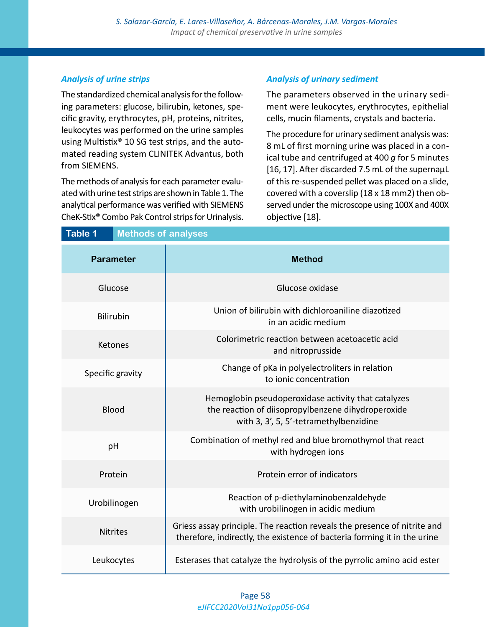# *Analysis of urine strips*

The standardized chemical analysis for the following parameters: glucose, bilirubin, ketones, specific gravity, erythrocytes, pH, proteins, nitrites, leukocytes was performed on the urine samples using Multistix® 10 SG test strips, and the automated reading system CLINITEK Advantus, both from SIEMENS.

The methods of analysis for each parameter evaluated with urine test strips are shown in Table 1. The analytical performance was verified with SIEMENS CheK-Stix® Combo Pak Control strips for Urinalysis.

# *Analysis of urinary sediment*

The parameters observed in the urinary sediment were leukocytes, erythrocytes, epithelial cells, mucin filaments, crystals and bacteria.

The procedure for urinary sediment analysis was: 8 mL of first morning urine was placed in a conical tube and centrifuged at 400 *g* for 5 minutes [16, 17]. After discarded 7.5 mL of the supernaµL of this re-suspended pellet was placed on a slide, covered with a coverslip (18 x 18 mm2) then observed under the microscope using 100X and 400X objective [18].

| <b>Table 1</b><br><b>Methods of analyses</b> |                                                                                                                                                      |
|----------------------------------------------|------------------------------------------------------------------------------------------------------------------------------------------------------|
| <b>Parameter</b>                             | <b>Method</b>                                                                                                                                        |
| Glucose                                      | Glucose oxidase                                                                                                                                      |
| <b>Bilirubin</b>                             | Union of bilirubin with dichloroaniline diazotized<br>in an acidic medium                                                                            |
| Ketones                                      | Colorimetric reaction between acetoacetic acid<br>and nitroprusside                                                                                  |
| Specific gravity                             | Change of pKa in polyelectroliters in relation<br>to ionic concentration                                                                             |
| <b>Blood</b>                                 | Hemoglobin pseudoperoxidase activity that catalyzes<br>the reaction of diisopropylbenzene dihydroperoxide<br>with 3, 3', 5, 5'-tetramethylbenzidine  |
| pH                                           | Combination of methyl red and blue bromothymol that react<br>with hydrogen ions                                                                      |
| Protein                                      | Protein error of indicators                                                                                                                          |
| Urobilinogen                                 | Reaction of p-diethylaminobenzaldehyde<br>with urobilinogen in acidic medium                                                                         |
| <b>Nitrites</b>                              | Griess assay principle. The reaction reveals the presence of nitrite and<br>therefore, indirectly, the existence of bacteria forming it in the urine |
| Leukocytes                                   | Esterases that catalyze the hydrolysis of the pyrrolic amino acid ester                                                                              |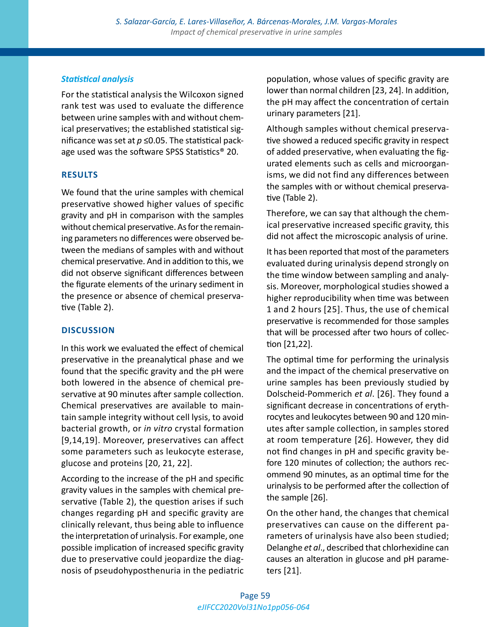# *Statistical analysis*

For the statistical analysis the Wilcoxon signed rank test was used to evaluate the difference between urine samples with and without chemical preservatives; the established statistical significance was set at  $p \le 0.05$ . The statistical package used was the software SPSS Statistics® 20.

#### **RESULTS**

We found that the urine samples with chemical preservative showed higher values of specific gravity and pH in comparison with the samples without chemical preservative. As for the remaining parameters no differences were observed between the medians of samples with and without chemical preservative. And in addition to this, we did not observe significant differences between the figurate elements of the urinary sediment in the presence or absence of chemical preservative (Table 2).

# **DISCUSSION**

In this work we evaluated the effect of chemical preservative in the preanalytical phase and we found that the specific gravity and the pH were both lowered in the absence of chemical preservative at 90 minutes after sample collection. Chemical preservatives are available to maintain sample integrity without cell lysis, to avoid bacterial growth, or *in vitro* crystal formation [9,14,19]. Moreover, preservatives can affect some parameters such as leukocyte esterase, glucose and proteins [20, 21, 22].

According to the increase of the pH and specific gravity values in the samples with chemical preservative (Table 2), the question arises if such changes regarding pH and specific gravity are clinically relevant, thus being able to influence the interpretation of urinalysis. For example, one possible implication of increased specific gravity due to preservative could jeopardize the diagnosis of pseudohyposthenuria in the pediatric

population, whose values of specific gravity are lower than normal children [23, 24]. In addition, the pH may affect the concentration of certain urinary parameters [21].

Although samples without chemical preservative showed a reduced specific gravity in respect of added preservative, when evaluating the figurated elements such as cells and microorganisms, we did not find any differences between the samples with or without chemical preservative (Table 2).

Therefore, we can say that although the chemical preservative increased specific gravity, this did not affect the microscopic analysis of urine.

It has been reported that most of the parameters evaluated during urinalysis depend strongly on the time window between sampling and analysis. Moreover, morphological studies showed a higher reproducibility when time was between 1 and 2 hours [25]. Thus, the use of chemical preservative is recommended for those samples that will be processed after two hours of collection [21,22].

The optimal time for performing the urinalysis and the impact of the chemical preservative on urine samples has been previously studied by Dolscheid-Pommerich *et al*. [26]. They found a significant decrease in concentrations of erythrocytes and leukocytes between 90 and 120 minutes after sample collection, in samples stored at room temperature [26]. However, they did not find changes in pH and specific gravity before 120 minutes of collection; the authors recommend 90 minutes, as an optimal time for the urinalysis to be performed after the collection of the sample [26].

On the other hand, the changes that chemical preservatives can cause on the different parameters of urinalysis have also been studied; Delanghe *et al*., described that chlorhexidine can causes an alteration in glucose and pH parameters [21].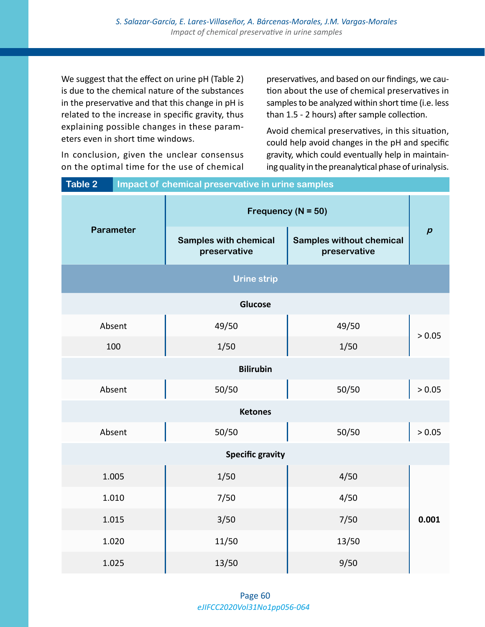We suggest that the effect on urine pH (Table 2) is due to the chemical nature of the substances in the preservative and that this change in pH is related to the increase in specific gravity, thus explaining possible changes in these parameters even in short time windows.

preservatives, and based on our findings, we caution about the use of chemical preservatives in samples to be analyzed within short time (i.e. less than 1.5 - 2 hours) after sample collection.

Avoid chemical preservatives, in this situation, could help avoid changes in the pH and specific gravity, which could eventually help in maintaining quality in the preanalytical phase of urinalysis.

| <b>Table 2</b><br>Impact of chemical preservative in urine samples |                                              |                                                 |                  |
|--------------------------------------------------------------------|----------------------------------------------|-------------------------------------------------|------------------|
| <b>Parameter</b>                                                   | Frequency ( $N = 50$ )                       |                                                 |                  |
|                                                                    | <b>Samples with chemical</b><br>preservative | <b>Samples without chemical</b><br>preservative | $\boldsymbol{p}$ |
| <b>Urine strip</b>                                                 |                                              |                                                 |                  |
| Glucose                                                            |                                              |                                                 |                  |
| Absent                                                             | 49/50                                        | 49/50                                           | > 0.05           |
| 100                                                                | 1/50                                         | 1/50                                            |                  |
| <b>Bilirubin</b>                                                   |                                              |                                                 |                  |
| Absent                                                             | 50/50                                        | 50/50                                           | > 0.05           |
|                                                                    | <b>Ketones</b>                               |                                                 |                  |
| Absent                                                             | 50/50                                        | 50/50                                           | > 0.05           |
| <b>Specific gravity</b>                                            |                                              |                                                 |                  |
| 1.005                                                              | 1/50                                         | 4/50                                            |                  |
| 1.010                                                              | 7/50                                         | 4/50                                            |                  |
| 1.015                                                              | 3/50                                         | 7/50                                            | 0.001            |
| 1.020                                                              | 11/50                                        | 13/50                                           |                  |
| 1.025                                                              | 13/50                                        | 9/50                                            |                  |

In conclusion, given the unclear consensus on the optimal time for the use of chemical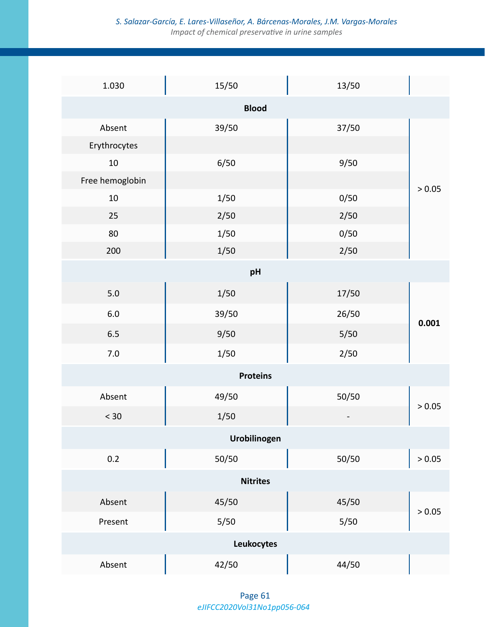# *S. Salazar-García, E. Lares-Villaseñor, A. Bárcenas-Morales, J.M. Vargas-Morales Impact of chemical preservative in urine samples*

| 1.030           | 15/50           | 13/50  |        |  |
|-----------------|-----------------|--------|--------|--|
| <b>Blood</b>    |                 |        |        |  |
| Absent          | 39/50           | 37/50  |        |  |
| Erythrocytes    |                 |        |        |  |
| 10              | 6/50            | 9/50   |        |  |
| Free hemoglobin |                 |        | > 0.05 |  |
| $10\,$          | 1/50            | 0/50   |        |  |
| 25              | 2/50            | 2/50   |        |  |
| 80              | $1/50$          | 0/50   |        |  |
| 200             | $1/50$          | 2/50   |        |  |
|                 | pH              |        |        |  |
| $5.0\,$         | $1/50$          | 17/50  | 0.001  |  |
| $6.0\,$         | 39/50           | 26/50  |        |  |
| $6.5\,$         | 9/50            | $5/50$ |        |  |
| $7.0\,$         | $1/50$          | 2/50   |        |  |
|                 | <b>Proteins</b> |        |        |  |
| Absent          | 49/50           | 50/50  | > 0.05 |  |
| < 30            | 1/50            |        |        |  |
| Urobilinogen    |                 |        |        |  |
| 0.2             | 50/50           | 50/50  | > 0.05 |  |
|                 | <b>Nitrites</b> |        |        |  |
| Absent          | 45/50           | 45/50  |        |  |
| Present         | $5/50$          | $5/50$ | > 0.05 |  |
| Leukocytes      |                 |        |        |  |
| Absent          | 42/50           | 44/50  |        |  |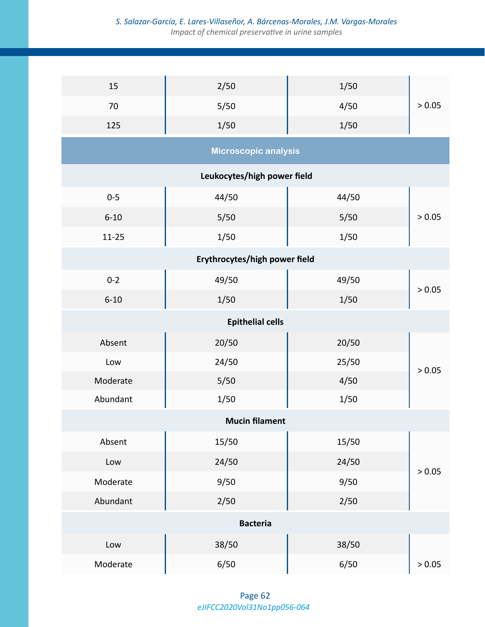# *S. Salazar-García, E. Lares-Villaseñor, A. Bárcenas-Morales, J.M. Vargas-Morales Impact of chemical preservative in urine samples*

| 15                            | 2/50                        | $1/50$ |        |
|-------------------------------|-----------------------------|--------|--------|
| 70                            | 5/50                        | 4/50   | > 0.05 |
| 125                           | $1/50$                      | $1/50$ |        |
|                               | Microscopic analysis        |        |        |
|                               | Leukocytes/high power field |        |        |
| $0 - 5$                       | 44/50                       | 44/50  |        |
| $6 - 10$                      | 5/50                        | 5/50   | > 0.05 |
| $11 - 25$                     | 1/50                        | 1/50   |        |
| Erythrocytes/high power field |                             |        |        |
| $0 - 2$                       | 49/50                       | 49/50  |        |
| $6 - 10$                      | $1/50$                      | $1/50$ | > 0.05 |
|                               | <b>Epithelial cells</b>     |        |        |
| Absent                        | 20/50                       | 20/50  |        |
| Low                           | 24/50                       | 25/50  | > 0.05 |
| Moderate                      | 5/50                        | 4/50   |        |
| Abundant                      | 1/50                        | 1/50   |        |
|                               | <b>Mucin filament</b>       |        |        |
| Absent                        | 15/50                       | 15/50  |        |
| Low                           | 24/50                       | 24/50  |        |
| Moderate                      | 9/50                        | 9/50   | > 0.05 |
| Abundant                      | 2/50                        | 2/50   |        |
| <b>Bacteria</b>               |                             |        |        |
| Low                           | 38/50                       | 38/50  |        |
| Moderate                      | 6/50                        | 6/50   | > 0.05 |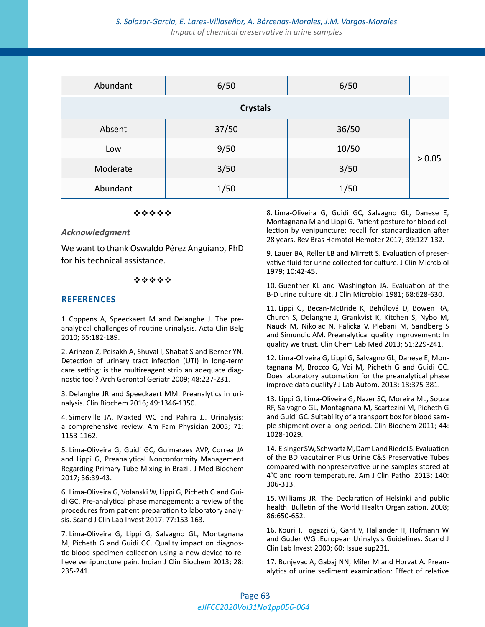#### *S. Salazar-García, E. Lares-Villaseñor, A. Bárcenas-Morales, J.M. Vargas-Morales Impact of chemical preservative in urine samples*

| Abundant        | 6/50  | 6/50  |        |
|-----------------|-------|-------|--------|
| <b>Crystals</b> |       |       |        |
| Absent          | 37/50 | 36/50 |        |
| Low             | 9/50  | 10/50 | > 0.05 |
| Moderate        | 3/50  | 3/50  |        |
| Abundant        | 1/50  | 1/50  |        |

#### \*\*\*\*\*

#### *Acknowledgment*

We want to thank Oswaldo Pérez Anguiano, PhD for his technical assistance.

#### \*\*\*\*\*

#### **REFERENCES**

1. Coppens A, Speeckaert M and Delanghe J. The preanalytical challenges of routine urinalysis. Acta Clin Belg 2010; 65:182-189.

2. Arinzon Z, Peisakh A, Shuval I, Shabat S and Berner YN. Detection of urinary tract infection (UTI) in long-term care setting: is the multireagent strip an adequate diagnostic tool? Arch Gerontol Geriatr 2009; 48:227-231.

3. Delanghe JR and Speeckaert MM. Preanalytics in urinalysis. Clin Biochem 2016; 49:1346-1350.

4. Simerville JA, Maxted WC and Pahira JJ. Urinalysis: a comprehensive review. Am Fam Physician 2005; 71: 1153-1162.

5. Lima-Oliveira G, Guidi GC, Guimaraes AVP, Correa JA and Lippi G, Preanalytical Nonconformity Management Regarding Primary Tube Mixing in Brazil. J Med Biochem 2017; 36:39-43.

6. Lima-Oliveira G, Volanski W, Lippi G, Picheth G and Guidi GC. Pre-analytical phase management: a review of the procedures from patient preparation to laboratory analysis. Scand J Clin Lab Invest 2017; 77:153-163.

7. Lima-Oliveira G, Lippi G, Salvagno GL, Montagnana M, Picheth G and Guidi GC. Quality impact on diagnostic blood specimen collection using a new device to relieve venipuncture pain. Indian J Clin Biochem 2013; 28: 235-241.

8. Lima-Oliveira G, Guidi GC, Salvagno GL, Danese E, Montagnana M and Lippi G. Patient posture for blood collection by venipuncture: recall for standardization after 28 years. Rev Bras Hematol Hemoter 2017; 39:127-132.

9. Lauer BA, Reller LB and Mirrett S. Evaluation of preservative fluid for urine collected for culture. J Clin Microbiol 1979; 10:42-45.

10. Guenther KL and Washington JA. Evaluation of the B-D urine culture kit. J Clin Microbiol 1981; 68:628-630.

11. Lippi G, Becan-McBride K, Behúlová D, Bowen RA, Church S, Delanghe J, Grankvist K, Kitchen S, Nybo M, Nauck M, Nikolac N, Palicka V, Plebani M, Sandberg S and Simundic AM. Preanalytical quality improvement: In quality we trust. Clin Chem Lab Med 2013; 51:229-241.

12. Lima-Oliveira G, Lippi G, Salvagno GL, Danese E, Montagnana M, Brocco G, Voi M, Picheth G and Guidi GC. Does laboratory automation for the preanalytical phase improve data quality? J Lab Autom. 2013; 18:375-381.

13. Lippi G, Lima-Oliveira G, Nazer SC, Moreira ML, Souza RF, Salvagno GL, Montagnana M, Scartezini M, Picheth G and Guidi GC. Suitability of a transport box for blood sample shipment over a long period. Clin Biochem 2011; 44: 1028-1029.

14. Eisinger SW, Schwartz M, Dam L and Riedel S. Evaluation of the BD Vacutainer Plus Urine C&S Preservative Tubes compared with nonpreservative urine samples stored at 4°C and room temperature. Am J Clin Pathol 2013; 140: 306-313.

15. Williams JR. The Declaration of Helsinki and public health. Bulletin of the World Health Organization. 2008; 86:650-652.

16. Kouri T, Fogazzi G, Gant V, Hallander H, Hofmann W and Guder WG .European Urinalysis Guidelines. Scand J Clin Lab Invest 2000; 60: Issue sup231.

17. Bunjevac A, Gabaj NN, Miler M and Horvat A. Preanalytics of urine sediment examination: Effect of relative